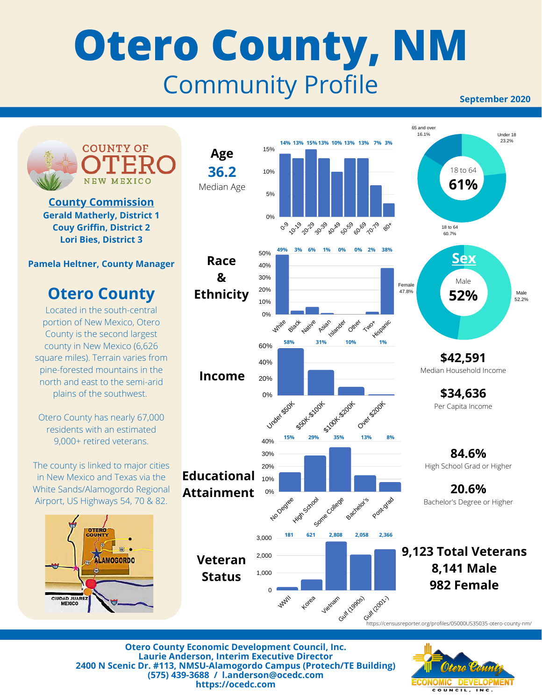## **Otero County, NM** Community Profile

**September 2020**



**Otero County Economic Development Council, Inc. Laurie Anderson, Interim Executive Director 2400 N Scenic Dr. #113, NMSU-Alamogordo Campus (Protech/TE Building) (575) 439-3688 / l.anderson@ocedc.com https://ocedc.com**

Conomic Developi COUNCIL, INC.